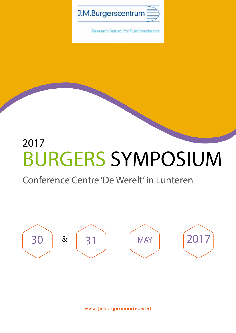

**Research School for Fluid Mechanics** 

# 2017 BURGERS SYMPOSIUM

#### Conference Centre 'De Werelt' in Lunteren

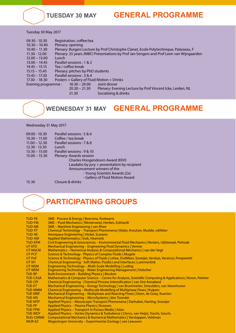#### **TUESDAY 30 MAY GENERAL PROGRAMME**

Tuesday 30 May 2017

| $09.30 - 10.30$    | Registration, coffee/tea                   |                                                                                         |
|--------------------|--------------------------------------------|-----------------------------------------------------------------------------------------|
| $10.30 - 10.40$    | Plenary: opening                           |                                                                                         |
| $10.40 - 11.30$    |                                            | Plenary: Burgers Lecture by Prof Christophe Clanet, Ecole Polytechnique, Palaiseau, F   |
| $11.30 - 12.00$    |                                            | Plenary: 25 years JMBC! Presentations by Prof Jan Sengers and Prof Leen van Wijngaarden |
| $12.00 - 13.00$    | Lunch                                      |                                                                                         |
| $13.00 - 14.45$    | Parallel sessions: 1 & 2                   |                                                                                         |
| $14.45 - 15.15$    | Tea / coffee break                         |                                                                                         |
| $15.15 - 15.45$    | Plenary: pitches by PhD students           |                                                                                         |
| $15.45 - 17.30$    | Parallel sessions: 3 & 4                   |                                                                                         |
| $17.30 - 18.30$    | Posters + Gallery of Fluid Motion + Drinks |                                                                                         |
| Evening programme: | $18.30 - 20.00$                            | Joint dinner                                                                            |
|                    | $20.30 - 21.30$                            | Plenary: Evening Lecture by Prof Vincent Icke, Leiden, NL                               |
|                    | 21.30                                      | Socialising & drinks                                                                    |

#### **WEDNESDAY 31 MAY GENERAL PROGRAMME**

Wednesday 31 May 2017

| $09.00 - 10.30$ | Parallel sessions: 5 & 6                     |
|-----------------|----------------------------------------------|
| $10.30 - 11.00$ | Coffee / tea break                           |
| $11.00 - 12.30$ | Parallel sessions: 7 & 8                     |
| $12.30 - 13.30$ | Lunch                                        |
| $13.30 - 15.00$ | Parallel sessions : 9 & 10                   |
| $15.00 - 15.30$ | Plenary: Awards session                      |
|                 | Charles Hoogendoorn Award (KIVI)             |
|                 | Laudatio by jury + presentation by recipient |
|                 | Announcement winners of the                  |
|                 | - Young Scientist Awards (2x)                |
|                 | - Gallery of Fluid Motion Award              |
| 15.30           | Closure & drinks                             |

#### **PARTICIPATING GROUPS**

| <b>TUD-PE</b>   | 3ME - Process & Energy   Boersma, Roekaerts                                                                 |
|-----------------|-------------------------------------------------------------------------------------------------------------|
| <b>TUD-FM</b>   | 3ME - Fluid Mechanics   Westerweel, Henkes, Eckhardt                                                        |
| <b>TUD-ME</b>   | 3ME - Maritime Engineering   van Rhee                                                                       |
| TUD-TP          | Chemical Technology – Transport Phenomena   Kleijn, Kreutzer, Mudde, vdAkker                                |
| <b>TUD-AE</b>   | Aerospace Engineering   Hickel, Scarano                                                                     |
| <b>TUD-AM</b>   | Applied Mathematics   Vuik, Heemink                                                                         |
| <b>TUD-EFM</b>  | Civil Engineering & Geosciences - Environmental Fluid Mechanics   Reniers, Uijttewaal, Pietrzak             |
| UT-EFD          | Mechanical Engineering - Engineering Fluid Dynamics   Venner                                                |
| UT-NACM         | Mathematics - Numerical Analysis & Computational Mechanics   van der Vegt                                   |
| UT-PCF          | Science & Technology - Physics of Complex Fluids   Mugele                                                   |
| UT-PoF          | Science & Technology - Physics of Fluids   Lohse, DvdMeer, Snoeijer, Versluis, Verzicco, Prosperetti        |
| UT-SFI          | Chemical Engineering - Soft Matter, Fluidics and Interfaces   Lammertink                                    |
| UT-MSM          | Engineering Technology - Multi-Scale Modelling   Luding                                                     |
| UT-WEM          | Engineering Technology - Water Engineering Management   Hulscher                                            |
| <b>TUE-BP</b>   | <b>Built Environment - Building Physics   Blocken</b>                                                       |
| <b>TUE-CASA</b> | Mathematics & Computer Science - Centre for Analysis, Scientific Computing & Applications   Koren, Peletier |
| <b>TUE-CPI</b>  | Chemical Engineering - Chemical Process Intensification   van Sint Annaland                                 |
| <b>TUE-ET</b>   | Mechanical Engineering – Energy Technology   van Brummelen, Smeulders, van Steenhoven                       |
| <b>TUE-MMM</b>  | Chemical Engineering - Multiscale Modelling of Multiphase Flows   Kuipers                                   |
| <b>TUE-MRF</b>  | Mechanical Engineering - Multiphase and Reacting Flows   Deen, de Goey, Kuerten                             |
| <b>TUE-MS</b>   | Mechanical Engineering - MicroSystems   den Toonder                                                         |
| <b>TUE-MTP</b>  | Applied Physics - Mesoscopic Transport Phenomena   Darhuber, Harting, Snoeijer                              |
| <b>TUE-PP</b>   | Applied Physics - Plasma Physics   Kroesen                                                                  |
| TUE-TPM         | Applied Physics - Transport in Porous Media   Adan                                                          |
| TUE-WDY         | Applied Physics - Vortex Dynamics & Turbulence   Clercx, van Heijst, Toschi, Geurts                         |
| <b>RUG-CMNM</b> | Computational Mechanics & Numerical Mathematics   Verstappen, Veldman                                       |
| <b>WUR-EZ</b>   | Wageningen University - Experimental Zoology   van Leeuwen                                                  |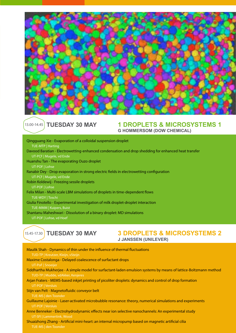

#### 13.00-14.45

## **TUESDAY 30 MAY 1 DROPLETS & MICROSYSTEMS 1**<br>G HOMMERSOM (DOW CHEMICAL)

**TUESDAY 30 MAY 30 DROPLETS & MICROSYSTEMS 2**<br>JJANSSEN (UNILEVER)  $15.45 - 17.30$ Qingguang Xie - Evaporation of a colloidal suspension droplet TUE-MTP | Harting Davood Baratian - Electrowetting-enhanced condensation and drop shedding for enhanced heat transfer UT-PCF | Mugele, vd Ende Huanshu Tan - The evaporating Ouzo droplet UT-POF | Lohse Ranabir Dey - Drop evaporation in strong electric fields in electrowetting configuration UT-PCF | Mugele, vd Ende Robin Koldewij - Freezing sessile droplets UT-POF | Lohse Felix Milan - Multi-scale LBM simulations of droplets in time-dependent flows TUE-WDY | Toschi Giulia Finotello - Experimental investigation of milk droplet-droplet interaction TUE-MMM | Kuipers, Buist Shantanu Maheshwari - Dissolution of a binary droplet: MD simulations UT-POF | Lohse, vd Hoef

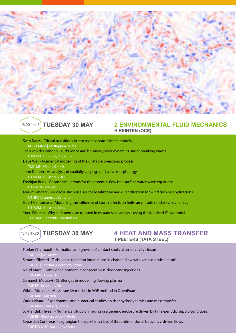



## **TUESDAY 30 MAY 2 ENVIRONMENTAL FLUID MECHANICS**<br>H REINTEN (OCE)

- Sven Baars Critical transitions in stochastic ocean-climate models RUG-CMNM | Verstappen, Wubs Joep van der Zanden - Turbulence and boundary layer dynamics under breaking waves UT-WEM | Hulscher, Ribberink Dave Weij - Numerical modelling of the unstable breaching process TUD-ME | vRhee, Keetels John Damen - An analysis of spatially varying sand wave morphology UT-WEM | Hulscher, vDijk Freekjan Brink - Robust simulations for the potential flow free surface water wave equations UT-NACM | vd Vegt Marijn Sanders - Aeroacoustic noise source localization and quantification for wind turbine applications UT-EFD | Venner, de Santana Geert Campmans - Modelling the influence of storm effects on finite amplitude sand wave dynamics
- UT-WEM | Hulscher, Roos Yoeri Dijkstra - Why sediments are trapped in estuaries: an analysis using the idealised iFlow model

TUD-AM | Heemink, Schuttelaars



## **4 HEAT AND MASS TRANSFER T PEETERS (TATA STEEL)**

- Florian Charruault Formation and growth of contact spots at an air cavity closure TUD-FM | Wester Simone Silvestri - Turbulence radiation interactions in channel flow with various optical depth
- 
- Noud Maes Flame devolopment in consecutive n-dodecane injections
- Samaneh Mousavi Challenges in modelling flowing plasma TUE-PP | Kroesen, vDijk
- Wiktor Michalek Mass transfer models in VOF method in OpenFoam
- Carlos Alvaro Experimental and numerical studies on riser hydrodynamics and mass transfer
- Jo-Hendrik Thysen Numerical study on mixing in a generic enclosure driven by time-periodic supply conditions TUE-BP | Blocken, vHooff, vHeijst
- Sebastian Contreras Lagrangian transport in a class of three-dimensional buoyancy-driven flows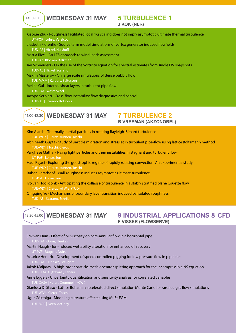09.00-10.30 **WEDNESDAY 31 MAY 5 TURBULENCE 1** 

Kim Alards - Thermally inertial particles in rotating Rayleigh-Bénard turbulence TUE-WDY | Clercx, Kunnen, Toschi Abhineeth Gupta - Study of particle migration and stresslet in turbulent pipe-flow using lattice Boltzmann method TUE-WDY | Toschi, Clercx Varghese Mathai - Rising light particles and their instabilities in stagnant and turbulent flow UT-PoF | Lohse, Sun Hadi Rajaei - Exploring the geostrophic regime of rapidly rotating convection: An experimental study **WEDNESDAY 31 MAY 7 TURBULENCE 2**<br>B VREEMAN (AKZONOBEL) Xiaojue Zhu - Roughness facilitated local 1/2 scaling does not imply asymptotic ultimate thermal turbulence UT-POF | Lohse, Verzicco Liesbeth Florentie - Source term model simulations of vortex generator induced flowfields TUD-AE | Hickel, Hulshoff Mattia Ricci - An LES approach to wind loads assessment TUE-BP | Blocken, Kalkman Jan Schneiders - On the use of the vorticity equation for spectral estimates from single PIV snapshots TUD-AE | Hickel, Scarano Maxim Masterov - On large scale simulations of dense bubbly flow TUE-MMM | Kuipers, Baltussen Melika Gul - Internal shear layers in turbulent pipe flow TUD-FM | Westerweel Jacopo Serpieri - Cross-flow instability: flow diagnostics and control TUD-AE | Scarano. Kotsonis

TUE-WDY | Clercx, Kunnen, Toschi Ruben Verschoof - Wall-roughness induces asymptotic ultimate turbulence

Ivo van Hooijdonk - Anticipating the collapse of turbulence in a stably stratified plane Couette flow TUE-WDY | Clercx, vd Wiel (TUD)

Qingqing Ye - Mechanisms of boundary layer transition induced by isolated roughness

TUD-AE | Scarano, Schrijer



## **9 INDUSTRIAL APPLICATIONS & CFD F VISSER (FLOWSERVE)**

Erik van Duin - Effect of oil viscosity on core-annular flow in a horizontal pipe TUD-FM | Ooms, Henke Martin Haagh - Ion-induced wettability alteration for enhanced oil recovery UT-PCF | Mugele, Duits Maurice Hendrix - Development of speed controlled pigging for low pressure flow in pipelines Jakob Maljaars - A high-order particle-mesh operator splitting approach for the incompressible NS equation TUD-EFM | Uijttewaal, Labeur Anne Eggels - Uncertainty quantification and sensitivity analysis for correlated variables Gianluca Di Staso - Lattice Boltzman accelerated direct simulation Monte Carlo for rarefied gas flow simulations Ugur Göktolga - Modeling curvature effects using MuSt-FGM